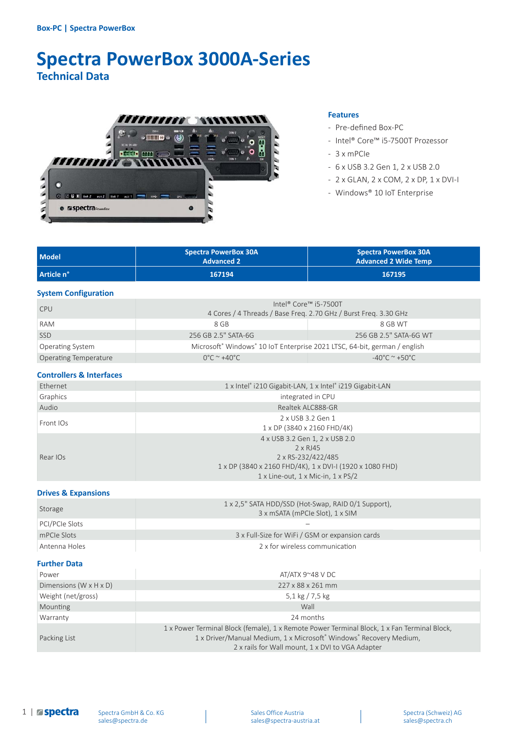# **Spectra PowerBox 3000A-Series Technical Data**



#### **Features**

- Pre-defined Box-PC
- Intel® Core™ i5-7500T Prozessor
- 3 x mPCIe
- 6 x USB 3.2 Gen 1, 2 x USB 2.0
- 2 x GLAN, 2 x COM, 2 x DP, 1 x DVI-I
- Windows® 10 IoT Enterprise

| <b>Model</b> | <b>Spectra PowerBox 30A</b><br><b>Advanced 2</b> | <b>Spectra PowerBox 30A</b><br><b>Advanced 2 Wide Temp</b> |
|--------------|--------------------------------------------------|------------------------------------------------------------|
| Article n°   | 167194                                           | 167195                                                     |

#### **System Configuration**

| <b>CPU</b>                   |                                                                                                   | Intel® Core™ i5-7500T<br>4 Cores / 4 Threads / Base Freg. 2.70 GHz / Burst Freg. 3.30 GHz |
|------------------------------|---------------------------------------------------------------------------------------------------|-------------------------------------------------------------------------------------------|
| <b>RAM</b>                   | 8 GB                                                                                              | 8 GB WT                                                                                   |
| <b>SSD</b>                   | 256 GB 2.5" SATA-6G                                                                               | 256 GB 2.5" SATA-6G WT                                                                    |
| <b>Operating System</b>      | Microsoft <sup>®</sup> Windows <sup>®</sup> 10 IoT Enterprise 2021 LTSC, 64-bit, german / english |                                                                                           |
| <b>Operating Temperature</b> | $0^{\circ}$ C ~ +40 $^{\circ}$ C                                                                  | $-40^{\circ}$ C $^{\sim}$ +50 $^{\circ}$ C                                                |

#### **Controllers & Interfaces**

| Ethernet  | 1 x Intel® i210 Gigabit-LAN, 1 x Intel® i219 Gigabit-LAN                                                                                                           |  |
|-----------|--------------------------------------------------------------------------------------------------------------------------------------------------------------------|--|
| Graphics  | integrated in CPU                                                                                                                                                  |  |
| Audio     | Realtek ALC888-GR                                                                                                                                                  |  |
| Front IOs | 2 x USB 3.2 Gen 1<br>1 x DP (3840 x 2160 FHD/4K)                                                                                                                   |  |
| Rear IOs  | 4 x USB 3.2 Gen 1, 2 x USB 2.0<br>2 x RJ45<br>2 x RS-232/422/485<br>1 x DP (3840 x 2160 FHD/4K), 1 x DVI-I (1920 x 1080 FHD)<br>1 x Line-out, 1 x Mic-in, 1 x PS/2 |  |

#### **Drives & Expansions**

| Storage        | 1 x 2,5" SATA HDD/SSD (Hot-Swap, RAID 0/1 Support),<br>3 x mSATA (mPCIe Slot), 1 x SIM |
|----------------|----------------------------------------------------------------------------------------|
| PCI/PCIe Slots |                                                                                        |
| mPCIe Slots    | 3 x Full-Size for WiFi / GSM or expansion cards                                        |
| Antenna Holes  | 2 x for wireless communication                                                         |

## **Further Data**

| Power                                | AT/ATX $9^{\sim}48$ V DC                                                                                                                                                                                              |  |
|--------------------------------------|-----------------------------------------------------------------------------------------------------------------------------------------------------------------------------------------------------------------------|--|
| Dimensions ( $W \times H \times D$ ) | 227 x 88 x 261 mm                                                                                                                                                                                                     |  |
| Weight (net/gross)                   | 5,1 kg $/$ 7,5 kg                                                                                                                                                                                                     |  |
| Mounting                             | Wall                                                                                                                                                                                                                  |  |
| Warranty                             | 24 months                                                                                                                                                                                                             |  |
| Packing List                         | 1 x Power Terminal Block (female), 1 x Remote Power Terminal Block, 1 x Fan Terminal Block,<br>1 x Driver/Manual Medium, 1 x Microsoft® Windows® Recovery Medium,<br>2 x rails for Wall mount, 1 x DVI to VGA Adapter |  |

1 | **aspectra**